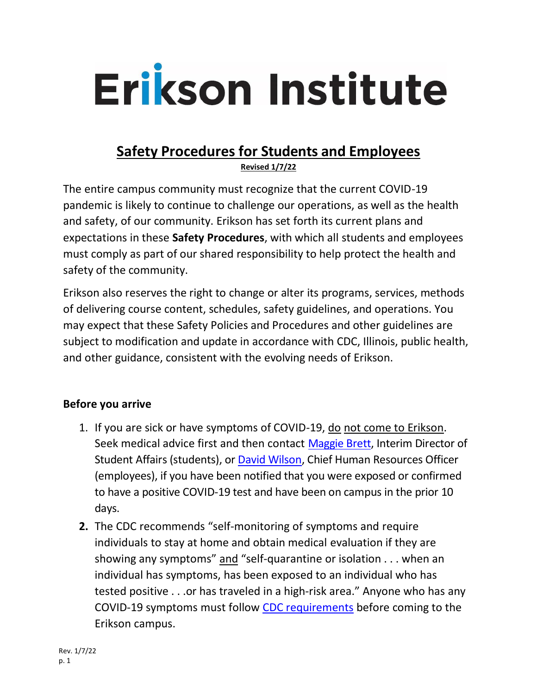

### **Safety Procedures for Students and Employees Revised 1/7/22**

The entire campus community must recognize that the current COVID-19 pandemic is likely to continue to challenge our operations, as well as the health and safety, of our community. Erikson has set forth its current plans and expectations in these **Safety Procedures**, with which all students and employees must comply as part of our shared responsibility to help protect the health and safety of the community.

Erikson also reserves the right to change or alter its programs, services, methods of delivering course content, schedules, safety guidelines, and operations. You may expect that these Safety Policies and Procedures and other guidelines are subject to modification and update in accordance with CDC, Illinois, public health, and other guidance, consistent with the evolving needs of Erikson.

#### **Before you arrive**

- 1. If you are sick or have symptoms of COVID-19, do not come to Erikson. Seek medical advice first and then contact [Maggie Brett,](mailto:mbrett@erikson.edu) Interim Director of Student Affairs (students), or [David Wilson,](mailto:dwilson@erikson.edu) Chief Human Resources Officer (employees), if you have been notified that you were exposed or confirmed to have a positive COVID-19 test and have been on campus in the prior 10 days.
- **2.** The CDC recommends "self-monitoring of symptoms and require individuals to stay at home and obtain medical evaluation if they are showing any symptoms" and "self-quarantine or isolation . . . when an individual has symptoms, has been exposed to an individual who has tested positive . . .or has traveled in a high-risk area." Anyone who has any COVID-19 symptoms must follow [CDC requirements](https://www.cdc.gov/coronavirus/2019-ncov/your-health/quarantine-isolation.html) before coming to the Erikson campus.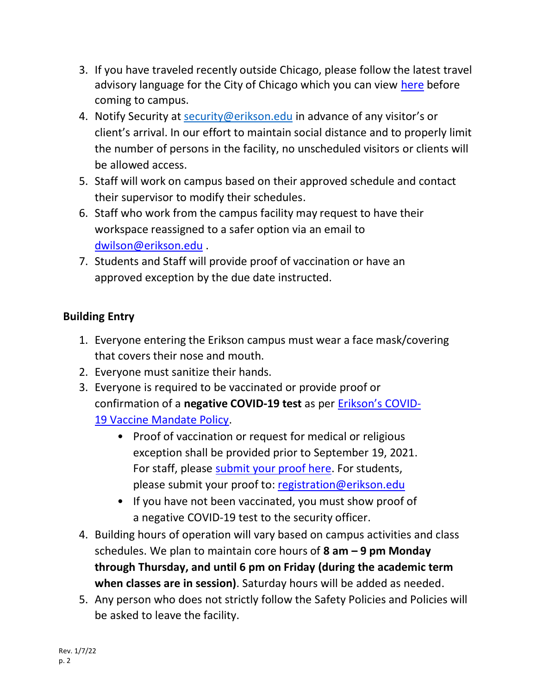- 3. If you have traveled recently outside Chicago, please follow the latest travel advisory language for the City of Chicago which you can view [here](https://www.chicago.gov/city/en/sites/covid-19/home/emergency-travel-order.html) before coming to campus.
- 4. Notify Security at [security@erikson.edu](mailto:security@erikson.edu) in advance of any visitor's or client's arrival. In our effort to maintain social distance and to properly limit the number of persons in the facility, no unscheduled visitors or clients will be allowed access.
- 5. Staff will work on campus based on their approved schedule and contact their supervisor to modify their schedules.
- 6. Staff who work from the campus facility may request to have their workspace reassigned to a safer option via an email to [dwilson@erikson.edu](mailto:dwilson@erikson.edu) .
- 7. Students and Staff will provide proof of vaccination or have an approved exception by the due date instructed.

#### **Building Entry**

- 1. Everyone entering the Erikson campus must wear a face mask/covering that covers their nose and mouth.
- 2. Everyone must sanitize their hands.
- 3. Everyone is required to be vaccinated or provide proof or confirmation of a **negative COVID-19 test** as per [Erikson's COVID](https://erikson.sharepoint.com/:b:/s/Home/EdD_sAkO_CNNu_q0ZUPnNrIBd5SfNFB-rDoY5qdrG50Rbg?e=2uXhde)-[19 Vaccine Mandate Policy.](https://erikson.sharepoint.com/:b:/s/Home/EdD_sAkO_CNNu_q0ZUPnNrIBd5SfNFB-rDoY5qdrG50Rbg?e=2uXhde)
	- Proof of vaccination or request for medical or religious exception shall be provided prior to September 19, 2021. For staff, please [submit your proof here.](https://forms.office.com/Pages/ResponsePage.aspx?id=wltmnPDhUki-JY2n-M8k2_1yhYB8K75Ig4KUH57BKcdUNldLTU1LQllDRkhKNzlNV0RBT0cySEZBVCQlQCN0PWcu) For students, please submit your proof to: [registration@erikson.edu](mailto:registration@erikson.edu)
	- If you have not been vaccinated, you must show proof of a negative COVID-19 test to the security officer.
- 4. Building hours of operation will vary based on campus activities and class schedules. We plan to maintain core hours of **8 am – 9 pm Monday through Thursday, and until 6 pm on Friday (during the academic term when classes are in session)**. Saturday hours will be added as needed.
- 5. Any person who does not strictly follow the Safety Policies and Policies will be asked to leave the facility.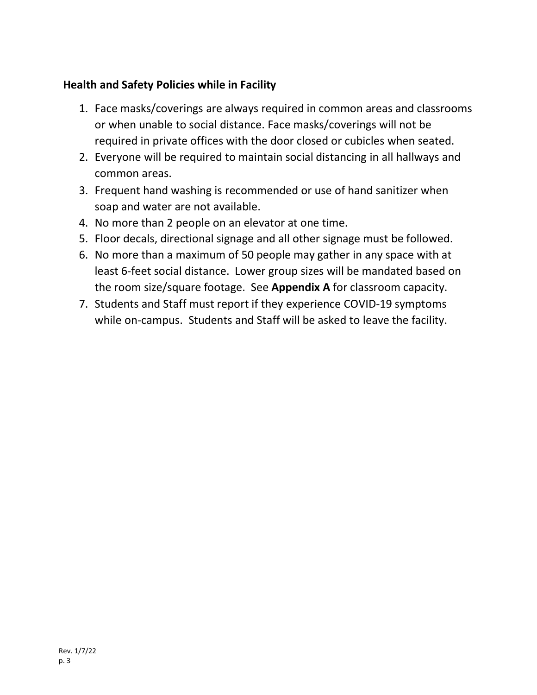#### **Health and Safety Policies while in Facility**

- 1. Face masks/coverings are always required in common areas and classrooms or when unable to social distance. Face masks/coverings will not be required in private offices with the door closed or cubicles when seated.
- 2. Everyone will be required to maintain social distancing in all hallways and common areas.
- 3. Frequent hand washing is recommended or use of hand sanitizer when soap and water are not available.
- 4. No more than 2 people on an elevator at one time.
- 5. Floor decals, directional signage and all other signage must be followed.
- 6. No more than a maximum of 50 people may gather in any space with at least 6-feet social distance. Lower group sizes will be mandated based on the room size/square footage. See **Appendix A** for classroom capacity.
- 7. Students and Staff must report if they experience COVID-19 symptoms while on-campus. Students and Staff will be asked to leave the facility.